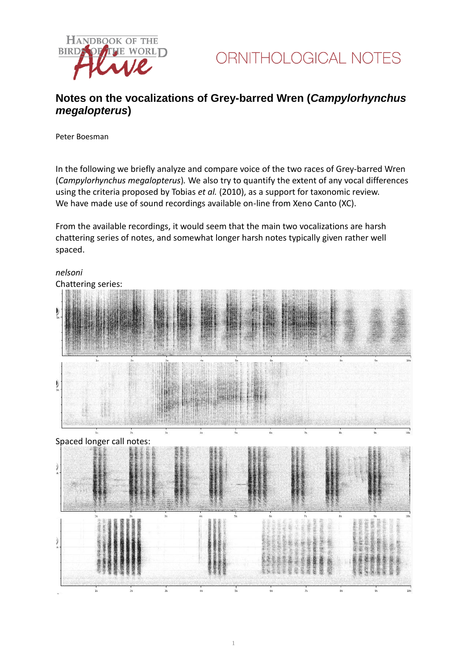



## **Notes on the vocalizations of Grey-barred Wren (***Campylorhynchus megalopterus***)**

Peter Boesman

In the following we briefly analyze and compare voice of the two races of Grey-barred Wren (*Campylorhynchus megalopterus*)*.* We also try to quantify the extent of any vocal differences using the criteria proposed by Tobias *et al.* (2010), as a support for taxonomic review. We have made use of sound recordings available on-line from Xeno Canto (XC).

From the available recordings, it would seem that the main two vocalizations are harsh chattering series of notes, and somewhat longer harsh notes typically given rather well spaced.